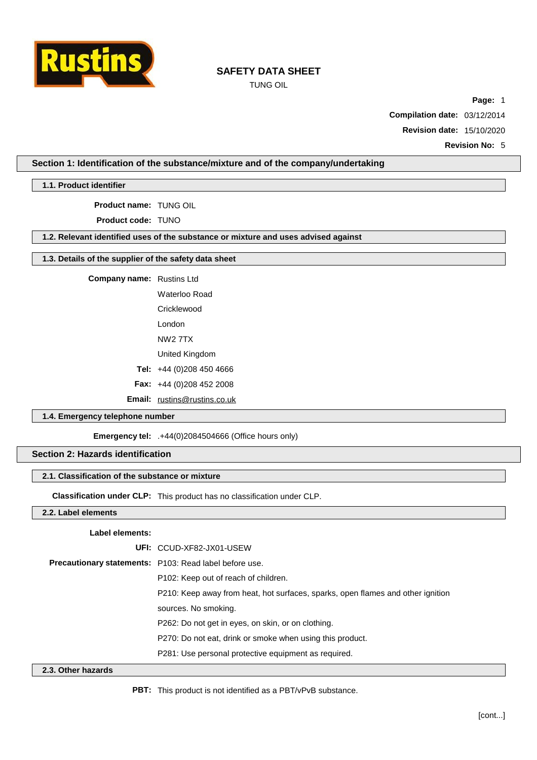

TUNG OIL

**Page:** 1

**Compilation date:** 03/12/2014

**Revision date:** 15/10/2020

**Revision No:** 5

## **Section 1: Identification of the substance/mixture and of the company/undertaking**

**1.1. Product identifier**

**Product name:** TUNG OIL

**Product code:** TUNO

# **1.2. Relevant identified uses of the substance or mixture and uses advised against**

# **1.3. Details of the supplier of the safety data sheet**

**Company name:** Rustins Ltd

Waterloo Road

**Cricklewood** 

London

NW2 7TX

- United Kingdom
- **Tel:** +44 (0)208 450 4666
- **Fax:** +44 (0)208 452 2008

**Email:** [rustins@rustins.co.uk](mailto:rustins@rustins.co.uk)

# **1.4. Emergency telephone number**

**Emergency tel:** .+44(0)2084504666 (Office hours only)

## **Section 2: Hazards identification**

### **2.1. Classification of the substance or mixture**

**Classification under CLP:** This product has no classification under CLP.

### **2.2. Label elements**

#### **Label elements:**

| 22 Oiharhamarda |                                                                                 |
|-----------------|---------------------------------------------------------------------------------|
|                 | P281: Use personal protective equipment as required.                            |
|                 | P270: Do not eat, drink or smoke when using this product.                       |
|                 | P262: Do not get in eyes, on skin, or on clothing.                              |
|                 | sources. No smoking.                                                            |
|                 | P210: Keep away from heat, hot surfaces, sparks, open flames and other ignition |
|                 | P <sub>102</sub> : Keep out of reach of children.                               |
|                 | <b>Precautionary statements:</b> P103: Read label before use.                   |
|                 | UFI: CCUD-XF82-JX01-USEW                                                        |

#### **2.3. Other hazards**

**PBT:** This product is not identified as a PBT/vPvB substance.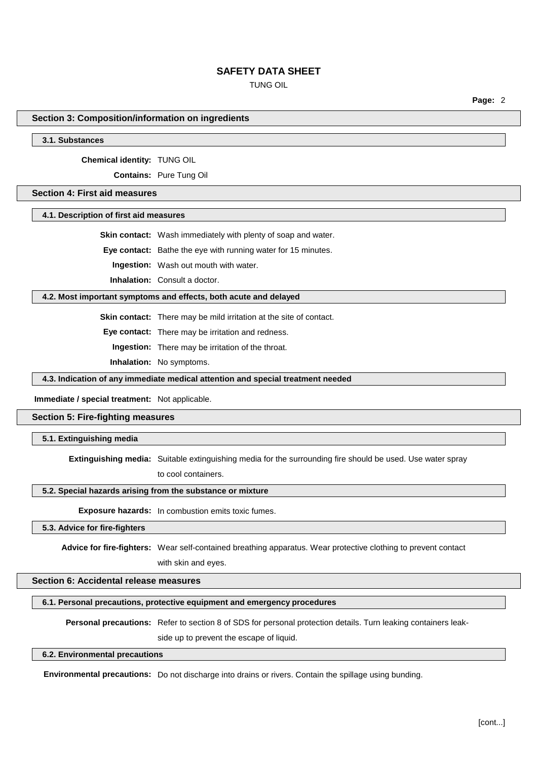TUNG OIL

**Page:** 2

## **Section 3: Composition/information on ingredients**

**3.1. Substances**

#### **Chemical identity:** TUNG OIL

**Contains:** Pure Tung Oil

# **Section 4: First aid measures**

#### **4.1. Description of first aid measures**

**Skin contact:** Wash immediately with plenty of soap and water.

**Eye contact:** Bathe the eye with running water for 15 minutes.

**Ingestion:** Wash out mouth with water.

**Inhalation:** Consult a doctor.

### **4.2. Most important symptoms and effects, both acute and delayed**

**Skin contact:** There may be mild irritation at the site of contact.

**Eye contact:** There may be irritation and redness.

**Ingestion:** There may be irritation of the throat.

**Inhalation:** No symptoms.

**4.3. Indication of any immediate medical attention and special treatment needed**

#### **Immediate / special treatment:** Not applicable.

### **Section 5: Fire-fighting measures**

## **5.1. Extinguishing media**

**Extinguishing media:** Suitable extinguishing media for the surrounding fire should be used. Use water spray to cool containers.

### **5.2. Special hazards arising from the substance or mixture**

**Exposure hazards:** In combustion emits toxic fumes.

# **5.3. Advice for fire-fighters**

**Advice for fire-fighters:** Wear self-contained breathing apparatus. Wear protective clothing to prevent contact with skin and eyes.

# **Section 6: Accidental release measures**

#### **6.1. Personal precautions, protective equipment and emergency procedures**

**Personal precautions:** Refer to section 8 of SDS for personal protection details. Turn leaking containers leak-

side up to prevent the escape of liquid.

#### **6.2. Environmental precautions**

**Environmental precautions:** Do not discharge into drains or rivers. Contain the spillage using bunding.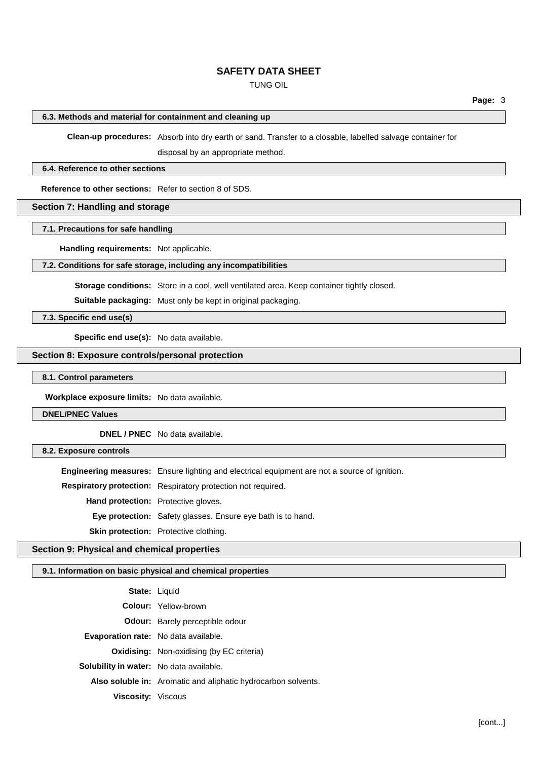# TUNG OIL

### **6.3. Methods and material for containment and cleaning up**

**Clean-up procedures:** Absorb into dry earth or sand. Transfer to a closable, labelled salvage container for

disposal by an appropriate method.

### **6.4. Reference to other sections**

**Reference to other sections:** Refer to section 8 of SDS.

# **Section 7: Handling and storage**

# **7.1. Precautions for safe handling**

**Handling requirements:** Not applicable.

## **7.2. Conditions for safe storage, including any incompatibilities**

**Storage conditions:** Store in a cool, well ventilated area. Keep container tightly closed.

**Suitable packaging:** Must only be kept in original packaging.

**7.3. Specific end use(s)**

**Specific end use(s):** No data available.

## **Section 8: Exposure controls/personal protection**

**8.1. Control parameters**

**Workplace exposure limits:** No data available.

**DNEL/PNEC Values**

**DNEL / PNEC** No data available.

**8.2. Exposure controls**

**Engineering measures:** Ensure lighting and electrical equipment are not a source of ignition.

**Respiratory protection:** Respiratory protection not required.

**Hand protection:** Protective gloves.

**Eye protection:** Safety glasses. Ensure eye bath is to hand.

**Skin protection:** Protective clothing.

# **Section 9: Physical and chemical properties**

# **9.1. Information on basic physical and chemical properties**

| <b>State: Liquid</b>                           |                                                               |
|------------------------------------------------|---------------------------------------------------------------|
|                                                | <b>Colour:</b> Yellow-brown                                   |
|                                                | <b>Odour:</b> Barely perceptible odour                        |
| <b>Evaporation rate:</b> No data available.    |                                                               |
|                                                | <b>Oxidising:</b> Non-oxidising (by EC criteria)              |
| <b>Solubility in water:</b> No data available. |                                                               |
|                                                | Also soluble in: Aromatic and aliphatic hydrocarbon solvents. |
| <b>Viscosity:</b> Viscous                      |                                                               |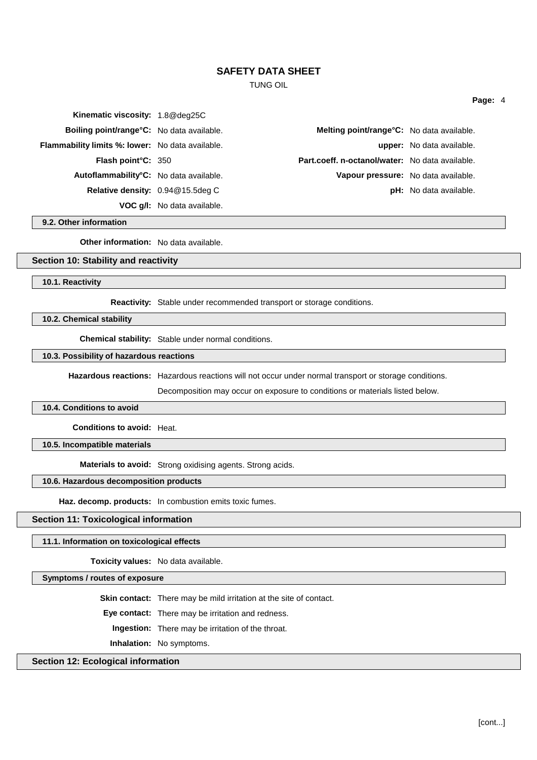TUNG OIL

| Kinematic viscosity: 1.8@deq25C                         |                                    |                                                 |                               |
|---------------------------------------------------------|------------------------------------|-------------------------------------------------|-------------------------------|
| Boiling point/range°C: No data available.               |                                    | Melting point/range°C: No data available.       |                               |
| <b>Flammability limits %: lower:</b> No data available. |                                    |                                                 | upper: No data available.     |
| <b>Flash point C: 350</b>                               |                                    | Part.coeff. n-octanol/water: No data available. |                               |
| Autoflammability°C: No data available.                  |                                    | Vapour pressure: No data available.             |                               |
| Relative density: 0.94@15.5deg C                        |                                    |                                                 | <b>pH:</b> No data available. |
|                                                         | <b>VOC g/I:</b> No data available. |                                                 |                               |

**9.2. Other information**

**Other information:** No data available.

### **Section 10: Stability and reactivity**

**10.1. Reactivity**

**Reactivity:** Stable under recommended transport or storage conditions.

**10.2. Chemical stability**

**Chemical stability:** Stable under normal conditions.

## **10.3. Possibility of hazardous reactions**

**Hazardous reactions:** Hazardous reactions will not occur under normal transport or storage conditions.

Decomposition may occur on exposure to conditions or materials listed below.

#### **10.4. Conditions to avoid**

**Conditions to avoid:** Heat.

**10.5. Incompatible materials**

**Materials to avoid:** Strong oxidising agents. Strong acids.

## **10.6. Hazardous decomposition products**

**Haz. decomp. products:** In combustion emits toxic fumes.

## **Section 11: Toxicological information**

#### **11.1. Information on toxicological effects**

**Toxicity values:** No data available.

**Symptoms / routes of exposure**

**Skin contact:** There may be mild irritation at the site of contact.

**Eye contact:** There may be irritation and redness.

**Ingestion:** There may be irritation of the throat.

**Inhalation:** No symptoms.

# **Section 12: Ecological information**

**Page:** 4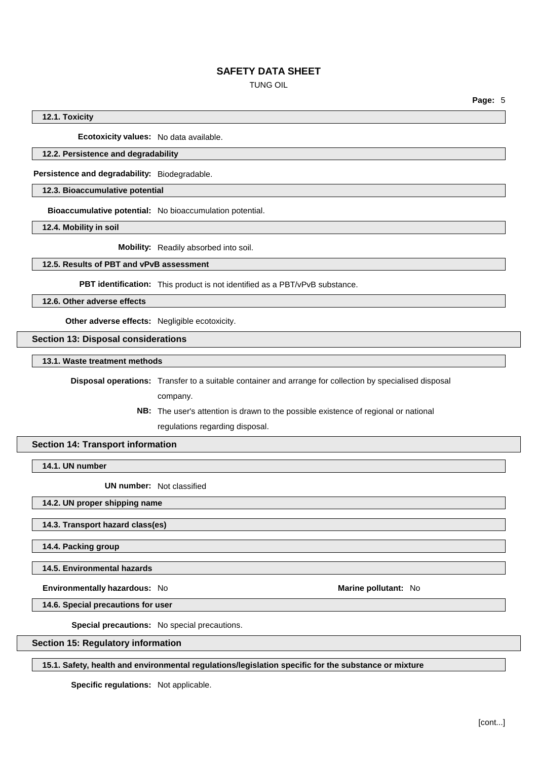TUNG OIL

**Page:** 5

**12.1. Toxicity**

**Ecotoxicity values:** No data available.

## **12.2. Persistence and degradability**

**Persistence and degradability:** Biodegradable.

**12.3. Bioaccumulative potential**

**Bioaccumulative potential:** No bioaccumulation potential.

**12.4. Mobility in soil**

**Mobility:** Readily absorbed into soil.

## **12.5. Results of PBT and vPvB assessment**

**PBT identification:** This product is not identified as a PBT/vPvB substance.

**12.6. Other adverse effects**

**Other adverse effects:** Negligible ecotoxicity.

**Section 13: Disposal considerations**

**13.1. Waste treatment methods**

**Disposal operations:** Transfer to a suitable container and arrange for collection by specialised disposal

company.

**NB:** The user's attention is drawn to the possible existence of regional or national regulations regarding disposal.

# **Section 14: Transport information**

**14.1. UN number**

**UN number:** Not classified

**14.2. UN proper shipping name**

**14.3. Transport hazard class(es)**

**14.4. Packing group**

**14.5. Environmental hazards**

**Environmentally hazardous:** No **Marine Marine Marine** pollutant: No

**14.6. Special precautions for user**

**Special precautions:** No special precautions.

**Section 15: Regulatory information**

**15.1. Safety, health and environmental regulations/legislation specific for the substance or mixture**

**Specific regulations:** Not applicable.